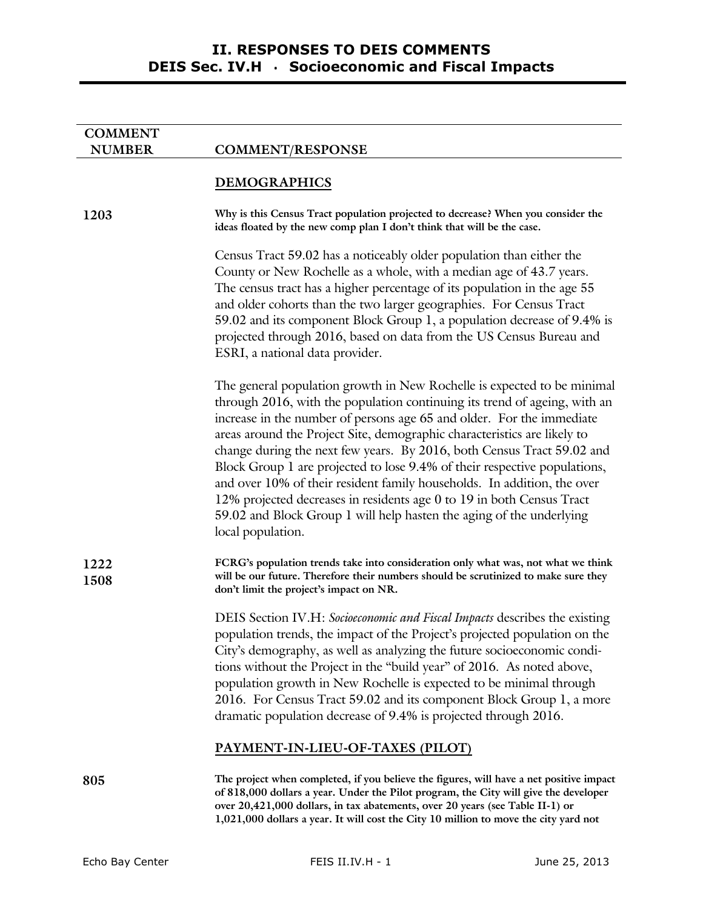# **II. RESPONSES TO DEIS COMMENTS DEIS Sec. IV.H** · **Socioeconomic and Fiscal Impacts**

| <b>COMMENT</b> |                                                                                                                                                                                                                                                                                                                                                                                                                                                                                                                                                                                                                                                                                                                   |
|----------------|-------------------------------------------------------------------------------------------------------------------------------------------------------------------------------------------------------------------------------------------------------------------------------------------------------------------------------------------------------------------------------------------------------------------------------------------------------------------------------------------------------------------------------------------------------------------------------------------------------------------------------------------------------------------------------------------------------------------|
| <b>NUMBER</b>  | <b>COMMENT/RESPONSE</b>                                                                                                                                                                                                                                                                                                                                                                                                                                                                                                                                                                                                                                                                                           |
|                | <b>DEMOGRAPHICS</b>                                                                                                                                                                                                                                                                                                                                                                                                                                                                                                                                                                                                                                                                                               |
| 1203           | Why is this Census Tract population projected to decrease? When you consider the<br>ideas floated by the new comp plan I don't think that will be the case.                                                                                                                                                                                                                                                                                                                                                                                                                                                                                                                                                       |
|                | Census Tract 59.02 has a noticeably older population than either the<br>County or New Rochelle as a whole, with a median age of 43.7 years.<br>The census tract has a higher percentage of its population in the age 55<br>and older cohorts than the two larger geographies. For Census Tract<br>59.02 and its component Block Group 1, a population decrease of 9.4% is<br>projected through 2016, based on data from the US Census Bureau and<br>ESRI, a national data provider.                                                                                                                                                                                                                               |
|                | The general population growth in New Rochelle is expected to be minimal<br>through 2016, with the population continuing its trend of ageing, with an<br>increase in the number of persons age 65 and older. For the immediate<br>areas around the Project Site, demographic characteristics are likely to<br>change during the next few years. By 2016, both Census Tract 59.02 and<br>Block Group 1 are projected to lose 9.4% of their respective populations,<br>and over 10% of their resident family households. In addition, the over<br>12% projected decreases in residents age 0 to 19 in both Census Tract<br>59.02 and Block Group 1 will help hasten the aging of the underlying<br>local population. |
| 1222<br>1508   | FCRG's population trends take into consideration only what was, not what we think<br>will be our future. Therefore their numbers should be scrutinized to make sure they<br>don't limit the project's impact on NR.                                                                                                                                                                                                                                                                                                                                                                                                                                                                                               |
|                | DEIS Section IV.H: Socioeconomic and Fiscal Impacts describes the existing<br>population trends, the impact of the Project's projected population on the<br>City's demography, as well as analyzing the future socioeconomic condi-<br>tions without the Project in the "build year" of 2016. As noted above,<br>population growth in New Rochelle is expected to be minimal through<br>2016. For Census Tract 59.02 and its component Block Group 1, a more<br>dramatic population decrease of 9.4% is projected through 2016.                                                                                                                                                                                   |
|                | PAYMENT-IN-LIEU-OF-TAXES (PILOT)                                                                                                                                                                                                                                                                                                                                                                                                                                                                                                                                                                                                                                                                                  |
| 805            | The project when completed, if you believe the figures, will have a net positive impact<br>of 818,000 dollars a year. Under the Pilot program, the City will give the developer<br>over 20,421,000 dollars, in tax abatements, over 20 years (see Table II-1) or<br>1,021,000 dollars a year. It will cost the City 10 million to move the city yard not                                                                                                                                                                                                                                                                                                                                                          |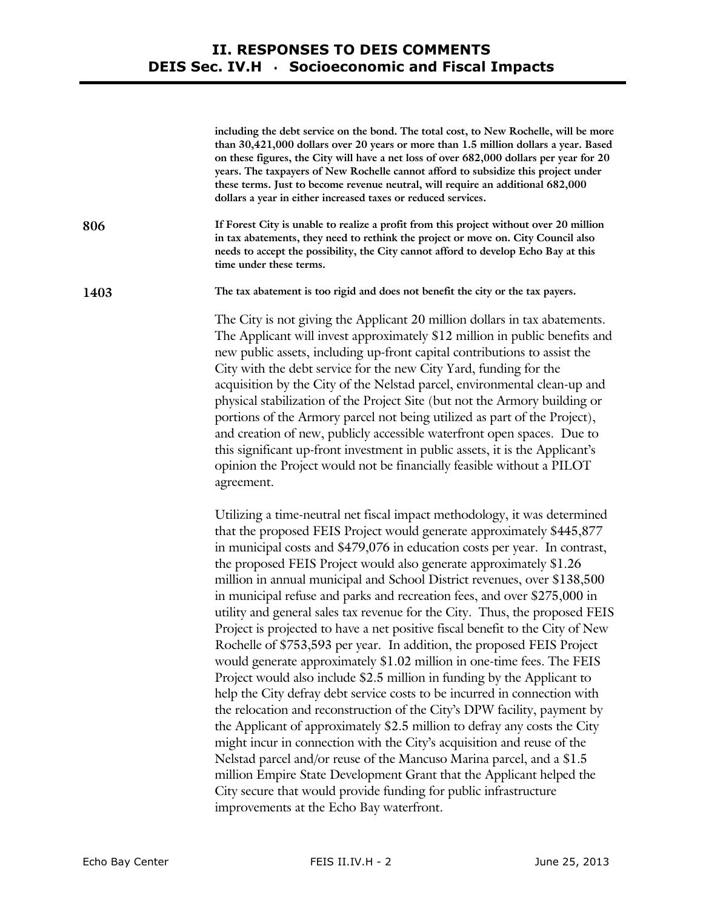## **II. RESPONSES TO DEIS COMMENTS DEIS Sec. IV.H** · **Socioeconomic and Fiscal Impacts**

|      | including the debt service on the bond. The total cost, to New Rochelle, will be more<br>than 30,421,000 dollars over 20 years or more than 1.5 million dollars a year. Based<br>on these figures, the City will have a net loss of over 682,000 dollars per year for 20<br>years. The taxpayers of New Rochelle cannot afford to subsidize this project under<br>these terms. Just to become revenue neutral, will require an additional 682,000<br>dollars a year in either increased taxes or reduced services.                                                                                                                                                                                                                                                                                    |
|------|-------------------------------------------------------------------------------------------------------------------------------------------------------------------------------------------------------------------------------------------------------------------------------------------------------------------------------------------------------------------------------------------------------------------------------------------------------------------------------------------------------------------------------------------------------------------------------------------------------------------------------------------------------------------------------------------------------------------------------------------------------------------------------------------------------|
| 806  | If Forest City is unable to realize a profit from this project without over 20 million<br>in tax abatements, they need to rethink the project or move on. City Council also<br>needs to accept the possibility, the City cannot afford to develop Echo Bay at this<br>time under these terms.                                                                                                                                                                                                                                                                                                                                                                                                                                                                                                         |
| 1403 | The tax abatement is too rigid and does not benefit the city or the tax payers.                                                                                                                                                                                                                                                                                                                                                                                                                                                                                                                                                                                                                                                                                                                       |
|      | The City is not giving the Applicant 20 million dollars in tax abatements.<br>The Applicant will invest approximately \$12 million in public benefits and<br>new public assets, including up-front capital contributions to assist the<br>City with the debt service for the new City Yard, funding for the<br>acquisition by the City of the Nelstad parcel, environmental clean-up and<br>physical stabilization of the Project Site (but not the Armory building or<br>portions of the Armory parcel not being utilized as part of the Project),<br>and creation of new, publicly accessible waterfront open spaces. Due to<br>this significant up-front investment in public assets, it is the Applicant's<br>opinion the Project would not be financially feasible without a PILOT<br>agreement. |
|      | Utilizing a time-neutral net fiscal impact methodology, it was determined<br>that the proposed FEIS Project would generate approximately \$445,877<br>in municipal costs and \$479,076 in education costs per year. In contrast,<br>the proposed FEIS Project would also generate approximately \$1.26                                                                                                                                                                                                                                                                                                                                                                                                                                                                                                |

the proposed FEIS Project would also generate approximately \$1.26 million in annual municipal and School District revenues, over \$138,500 in municipal refuse and parks and recreation fees, and over \$275,000 in utility and general sales tax revenue for the City. Thus, the proposed FEIS Project is projected to have a net positive fiscal benefit to the City of New Rochelle of \$753,593 per year. In addition, the proposed FEIS Project would generate approximately \$1.02 million in one-time fees. The FEIS Project would also include \$2.5 million in funding by the Applicant to help the City defray debt service costs to be incurred in connection with the relocation and reconstruction of the City's DPW facility, payment by the Applicant of approximately \$2.5 million to defray any costs the City might incur in connection with the City's acquisition and reuse of the Nelstad parcel and/or reuse of the Mancuso Marina parcel, and a \$1.5 million Empire State Development Grant that the Applicant helped the City secure that would provide funding for public infrastructure improvements at the Echo Bay waterfront.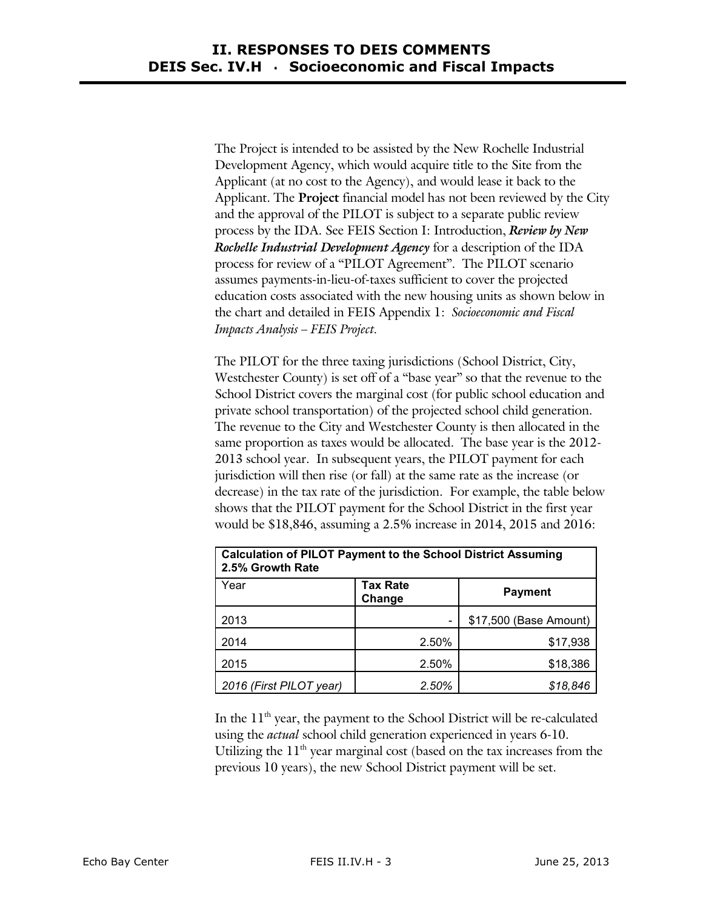The Project is intended to be assisted by the New Rochelle Industrial Development Agency, which would acquire title to the Site from the Applicant (at no cost to the Agency), and would lease it back to the Applicant. The **Project** financial model has not been reviewed by the City and the approval of the PILOT is subject to a separate public review process by the IDA. See FEIS Section I: Introduction, *Review by New Rochelle Industrial Development Agency* for a description of the IDA process for review of a "PILOT Agreement". The PILOT scenario assumes payments-in-lieu-of-taxes sufficient to cover the projected education costs associated with the new housing units as shown below in the chart and detailed in FEIS Appendix 1: *Socioeconomic and Fiscal Impacts Analysis – FEIS Project.* 

The PILOT for the three taxing jurisdictions (School District, City, Westchester County) is set off of a "base year" so that the revenue to the School District covers the marginal cost (for public school education and private school transportation) of the projected school child generation. The revenue to the City and Westchester County is then allocated in the same proportion as taxes would be allocated. The base year is the 2012- 2013 school year. In subsequent years, the PILOT payment for each jurisdiction will then rise (or fall) at the same rate as the increase (or decrease) in the tax rate of the jurisdiction. For example, the table below shows that the PILOT payment for the School District in the first year would be \$18,846, assuming a 2.5% increase in 2014, 2015 and 2016:

| <b>Calculation of PILOT Payment to the School District Assuming</b><br>2.5% Growth Rate |                           |                        |  |  |
|-----------------------------------------------------------------------------------------|---------------------------|------------------------|--|--|
| Year                                                                                    | <b>Tax Rate</b><br>Change | <b>Payment</b>         |  |  |
| 2013                                                                                    |                           | \$17,500 (Base Amount) |  |  |
| 2014                                                                                    | 2.50%                     | \$17,938               |  |  |
| 2015                                                                                    | 2.50%                     | \$18,386               |  |  |
| 2016 (First PILOT year)                                                                 | 2.50%                     | \$18,846               |  |  |

In the  $11<sup>th</sup>$  year, the payment to the School District will be re-calculated using the *actual* school child generation experienced in years 6-10. Utilizing the  $11<sup>th</sup>$  year marginal cost (based on the tax increases from the previous 10 years), the new School District payment will be set.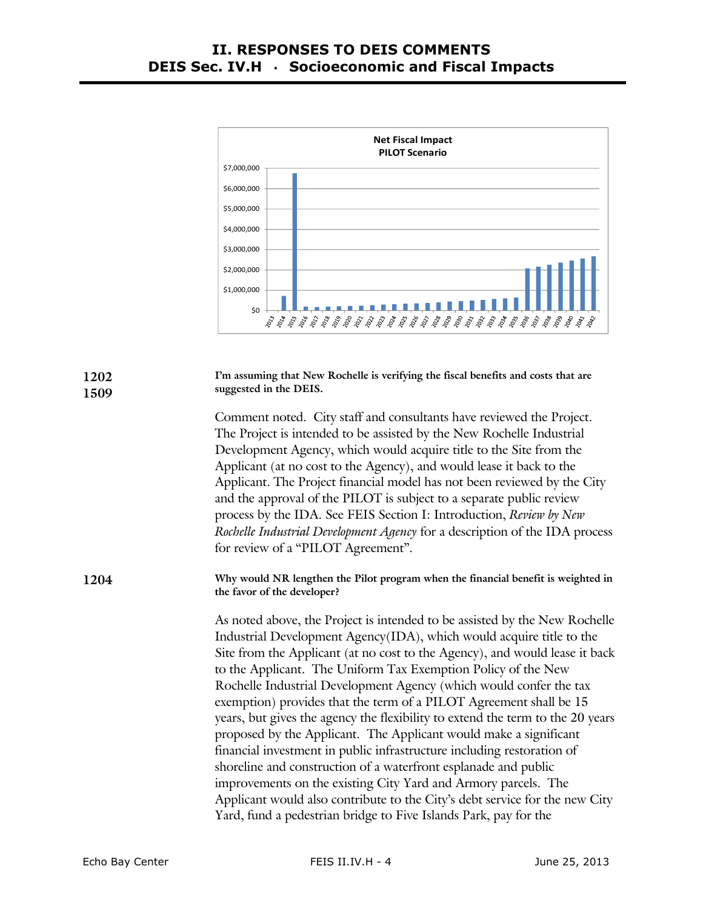

| 1202<br>1509 | I'm assuming that New Rochelle is verifying the fiscal benefits and costs that are<br>suggested in the DEIS.                                                                                                                                                                                                                                                                                                                                                                                                                                                                                                                                                                                                                                                                                                                                                                                                                                                            |
|--------------|-------------------------------------------------------------------------------------------------------------------------------------------------------------------------------------------------------------------------------------------------------------------------------------------------------------------------------------------------------------------------------------------------------------------------------------------------------------------------------------------------------------------------------------------------------------------------------------------------------------------------------------------------------------------------------------------------------------------------------------------------------------------------------------------------------------------------------------------------------------------------------------------------------------------------------------------------------------------------|
|              | Comment noted. City staff and consultants have reviewed the Project.<br>The Project is intended to be assisted by the New Rochelle Industrial<br>Development Agency, which would acquire title to the Site from the<br>Applicant (at no cost to the Agency), and would lease it back to the<br>Applicant. The Project financial model has not been reviewed by the City<br>and the approval of the PILOT is subject to a separate public review<br>process by the IDA. See FEIS Section I: Introduction, Review by New<br>Rochelle Industrial Development Agency for a description of the IDA process<br>for review of a "PILOT Agreement".                                                                                                                                                                                                                                                                                                                             |
| 1204         | Why would NR lengthen the Pilot program when the financial benefit is weighted in<br>the favor of the developer?                                                                                                                                                                                                                                                                                                                                                                                                                                                                                                                                                                                                                                                                                                                                                                                                                                                        |
|              | As noted above, the Project is intended to be assisted by the New Rochelle<br>Industrial Development Agency(IDA), which would acquire title to the<br>Site from the Applicant (at no cost to the Agency), and would lease it back<br>to the Applicant. The Uniform Tax Exemption Policy of the New<br>Rochelle Industrial Development Agency (which would confer the tax<br>exemption) provides that the term of a PILOT Agreement shall be 15<br>years, but gives the agency the flexibility to extend the term to the 20 years<br>proposed by the Applicant. The Applicant would make a significant<br>financial investment in public infrastructure including restoration of<br>shoreline and construction of a waterfront esplanade and public<br>improvements on the existing City Yard and Armory parcels. The<br>Applicant would also contribute to the City's debt service for the new City<br>Yard, fund a pedestrian bridge to Five Islands Park, pay for the |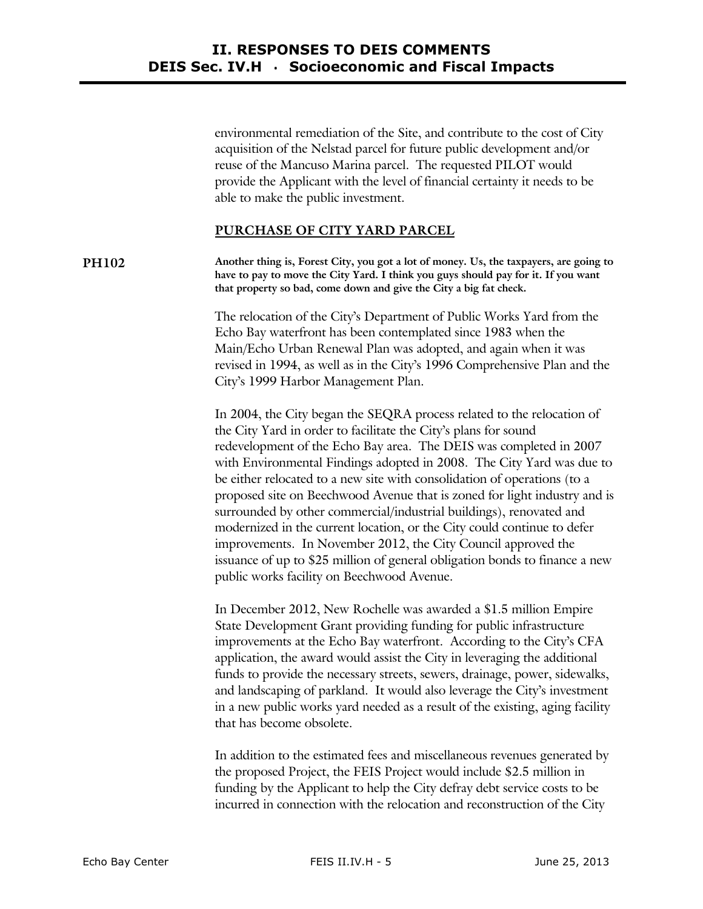environmental remediation of the Site, and contribute to the cost of City acquisition of the Nelstad parcel for future public development and/or reuse of the Mancuso Marina parcel. The requested PILOT would provide the Applicant with the level of financial certainty it needs to be able to make the public investment.

## **PURCHASE OF CITY YARD PARCEL**

**PH102 Another thing is, Forest City, you got a lot of money. Us, the taxpayers, are going to have to pay to move the City Yard. I think you guys should pay for it. If you want that property so bad, come down and give the City a big fat check.** 

> The relocation of the City's Department of Public Works Yard from the Echo Bay waterfront has been contemplated since 1983 when the Main/Echo Urban Renewal Plan was adopted, and again when it was revised in 1994, as well as in the City's 1996 Comprehensive Plan and the City's 1999 Harbor Management Plan.

In 2004, the City began the SEQRA process related to the relocation of the City Yard in order to facilitate the City's plans for sound redevelopment of the Echo Bay area. The DEIS was completed in 2007 with Environmental Findings adopted in 2008. The City Yard was due to be either relocated to a new site with consolidation of operations (to a proposed site on Beechwood Avenue that is zoned for light industry and is surrounded by other commercial/industrial buildings), renovated and modernized in the current location, or the City could continue to defer improvements. In November 2012, the City Council approved the issuance of up to \$25 million of general obligation bonds to finance a new public works facility on Beechwood Avenue.

In December 2012, New Rochelle was awarded a \$1.5 million Empire State Development Grant providing funding for public infrastructure improvements at the Echo Bay waterfront. According to the City's CFA application, the award would assist the City in leveraging the additional funds to provide the necessary streets, sewers, drainage, power, sidewalks, and landscaping of parkland. It would also leverage the City's investment in a new public works yard needed as a result of the existing, aging facility that has become obsolete.

In addition to the estimated fees and miscellaneous revenues generated by the proposed Project, the FEIS Project would include \$2.5 million in funding by the Applicant to help the City defray debt service costs to be incurred in connection with the relocation and reconstruction of the City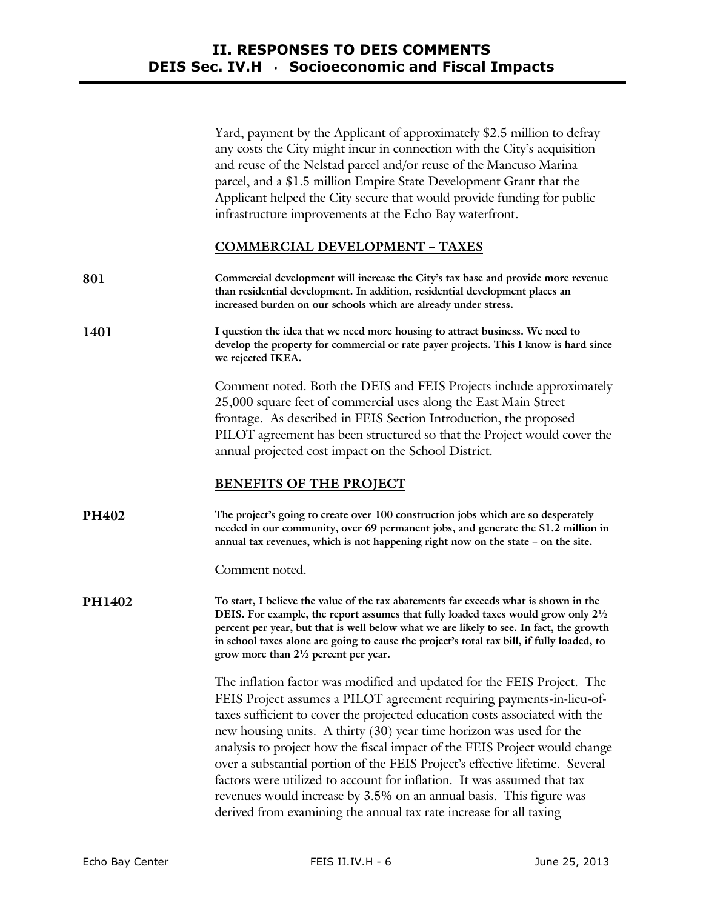Yard, payment by the Applicant of approximately \$2.5 million to defray any costs the City might incur in connection with the City's acquisition and reuse of the Nelstad parcel and/or reuse of the Mancuso Marina parcel, and a \$1.5 million Empire State Development Grant that the Applicant helped the City secure that would provide funding for public infrastructure improvements at the Echo Bay waterfront.

#### **COMMERCIAL DEVELOPMENT – TAXES**

- **801 Commercial development will increase the City's tax base and provide more revenue than residential development. In addition, residential development places an increased burden on our schools which are already under stress.**
- **1401 I question the idea that we need more housing to attract business. We need to develop the property for commercial or rate payer projects. This I know is hard since we rejected IKEA.**

Comment noted. Both the DEIS and FEIS Projects include approximately 25,000 square feet of commercial uses along the East Main Street frontage. As described in FEIS Section Introduction, the proposed PILOT agreement has been structured so that the Project would cover the annual projected cost impact on the School District.

## **BENEFITS OF THE PROJECT**

**PH402 The project's going to create over 100 construction jobs which are so desperately needed in our community, over 69 permanent jobs, and generate the \$1.2 million in annual tax revenues, which is not happening right now on the state – on the site.** 

Comment noted.

**PH1402 To start, I believe the value of the tax abatements far exceeds what is shown in the DEIS. For example, the report assumes that fully loaded taxes would grow only 2½ percent per year, but that is well below what we are likely to see. In fact, the growth in school taxes alone are going to cause the project's total tax bill, if fully loaded, to grow more than 2½ percent per year.** 

> The inflation factor was modified and updated for the FEIS Project. The FEIS Project assumes a PILOT agreement requiring payments-in-lieu-oftaxes sufficient to cover the projected education costs associated with the new housing units. A thirty (30) year time horizon was used for the analysis to project how the fiscal impact of the FEIS Project would change over a substantial portion of the FEIS Project's effective lifetime. Several factors were utilized to account for inflation. It was assumed that tax revenues would increase by 3.5% on an annual basis. This figure was derived from examining the annual tax rate increase for all taxing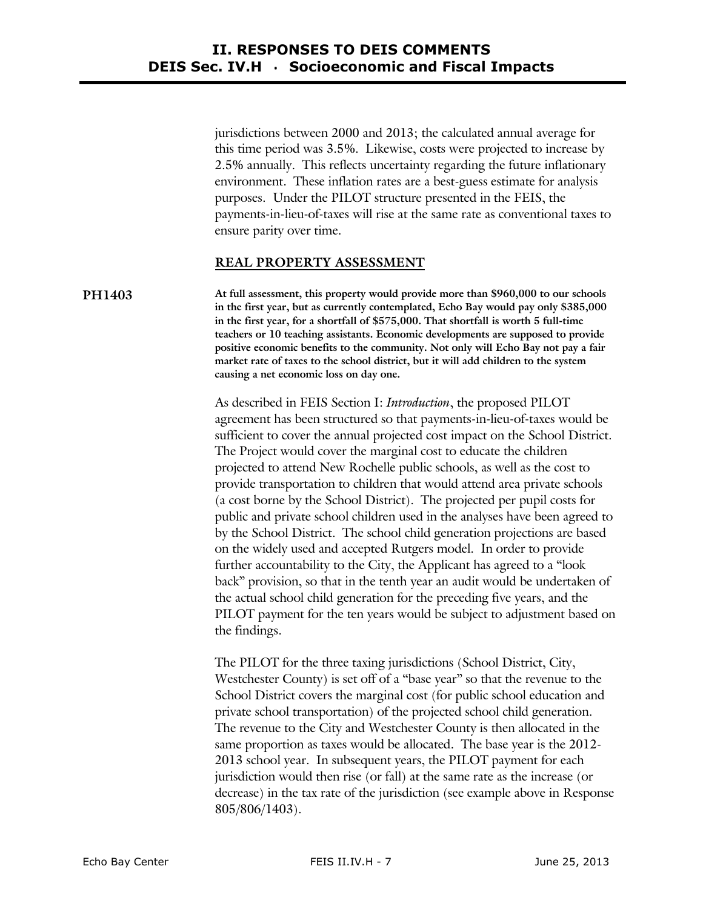jurisdictions between 2000 and 2013; the calculated annual average for this time period was 3.5%. Likewise, costs were projected to increase by 2.5% annually. This reflects uncertainty regarding the future inflationary environment. These inflation rates are a best-guess estimate for analysis purposes. Under the PILOT structure presented in the FEIS, the payments-in-lieu-of-taxes will rise at the same rate as conventional taxes to ensure parity over time.

## **REAL PROPERTY ASSESSMENT**

**PH1403 At full assessment, this property would provide more than \$960,000 to our schools in the first year, but as currently contemplated, Echo Bay would pay only \$385,000 in the first year, for a shortfall of \$575,000. That shortfall is worth 5 full-time teachers or 10 teaching assistants. Economic developments are supposed to provide positive economic benefits to the community. Not only will Echo Bay not pay a fair market rate of taxes to the school district, but it will add children to the system causing a net economic loss on day one.** 

> As described in FEIS Section I: *Introduction*, the proposed PILOT agreement has been structured so that payments-in-lieu-of-taxes would be sufficient to cover the annual projected cost impact on the School District. The Project would cover the marginal cost to educate the children projected to attend New Rochelle public schools, as well as the cost to provide transportation to children that would attend area private schools (a cost borne by the School District). The projected per pupil costs for public and private school children used in the analyses have been agreed to by the School District. The school child generation projections are based on the widely used and accepted Rutgers model. In order to provide further accountability to the City, the Applicant has agreed to a "look back" provision, so that in the tenth year an audit would be undertaken of the actual school child generation for the preceding five years, and the PILOT payment for the ten years would be subject to adjustment based on the findings.

> The PILOT for the three taxing jurisdictions (School District, City, Westchester County) is set off of a "base year" so that the revenue to the School District covers the marginal cost (for public school education and private school transportation) of the projected school child generation. The revenue to the City and Westchester County is then allocated in the same proportion as taxes would be allocated. The base year is the 2012- 2013 school year. In subsequent years, the PILOT payment for each jurisdiction would then rise (or fall) at the same rate as the increase (or decrease) in the tax rate of the jurisdiction (see example above in Response 805/806/1403).